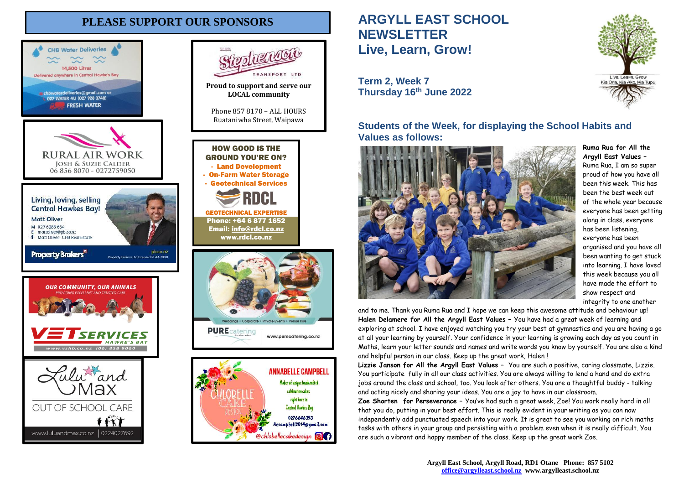## **PLEASE SUPPORT OUR SPONSORS**





celebration cakes right here in

Central Hawkes Bay 0276646353

Aecampbell2014@gmail.com

@chlobellecakedesign @

# **ARGYLL EAST SCHOOL NEWSLETTER Live, Learn, Grow!**

**Term 2, Week 7 Thursday 16th June 2022**

**Students of the Week, for displaying the School Habits and Values as follows:**



**Ruma Rua for All the Argyll East Values –** Ruma Rua, I am so super proud of how you have all been this week. This has been the best week out of the whole year because everyone has been getting along in class, everyone has been listening, everyone has been organised and you have all been wanting to get stuck into learning. I have loved this week because you all have made the effort to show respect and integrity to one another

and to me. Thank you Ruma Rua and I hope we can keep this awesome attitude and behaviour up! **Halen Delamere for All the Argyll East Values –** You have had a great week of learning and exploring at school. I have enjoyed watching you try your best at gymnastics and you are having a go at all your learning by yourself. Your confidence in your learning is growing each day as you count in Maths, learn your letter sounds and names and write words you know by yourself. You are also a kind and helpful person in our class. Keep up the great work, Halen !

**Lizzie Janson for All the Argyll East Values –** You are such a positive, caring classmate, Lizzie. You participate fully in all our class activities. You are always willing to lend a hand and do extra jobs around the class and school, too. You look after others. You are a thoughtful buddy - talking and acting nicely and sharing your ideas. You are a joy to have in our classroom.

**Zoe Shorten for Perseverance –** You've had such a great week, Zoe! You work really hard in all that you do, putting in your best effort. This is really evident in your writing as you can now independently add punctuated speech into your work. It is great to see you working on rich maths tasks with others in your group and persisting with a problem even when it is really difficult. You are such a vibrant and happy member of the class. Keep up the great work Zoe.